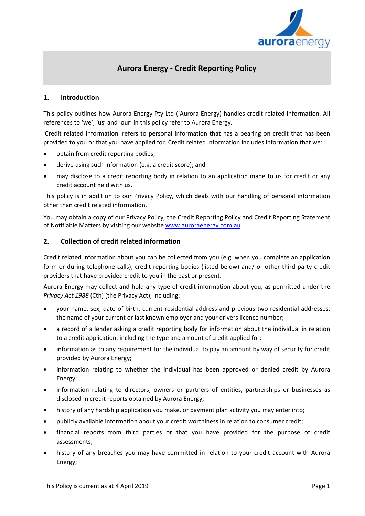

# **Aurora Energy - Credit Reporting Policy**

# **1. Introduction**

This policy outlines how Aurora Energy Pty Ltd ('Aurora Energy) handles credit related information. All references to 'we', 'us' and 'our' in this policy refer to Aurora Energy.

'Credit related information' refers to personal information that has a bearing on credit that has been provided to you or that you have applied for. Credit related information includes information that we:

- obtain from credit reporting bodies;
- derive using such information (e.g. a credit score); and
- may disclose to a credit reporting body in relation to an application made to us for credit or any credit account held with us.

This policy is in addition to our Privacy Policy, which deals with our handling of personal information other than credit related information.

You may obtain a copy of our Privacy Policy, the Credit Reporting Policy and Credit Reporting Statement of Notifiable Matters by visiting our website [www.auroraenergy.com.au.](http://www.auroraenergy.com.au/)

#### **2. Collection of credit related information**

Credit related information about you can be collected from you (e.g. when you complete an application form or during telephone calls), credit reporting bodies (listed below) and/ or other third party credit providers that have provided credit to you in the past or present.

Aurora Energy may collect and hold any type of credit information about you, as permitted under the *Privacy Act 1988* (Cth) (the Privacy Act), including:

- your name, sex, date of birth, current residential address and previous two residential addresses, the name of your current or last known employer and your drivers licence number;
- a record of a lender asking a credit reporting body for information about the individual in relation to a credit application, including the type and amount of credit applied for;
- information as to any requirement for the individual to pay an amount by way of security for credit provided by Aurora Energy;
- information relating to whether the individual has been approved or denied credit by Aurora Energy;
- information relating to directors, owners or partners of entities, partnerships or businesses as disclosed in credit reports obtained by Aurora Energy;
- history of any hardship application you make, or payment plan activity you may enter into;
- publicly available information about your credit worthiness in relation to consumer credit;
- financial reports from third parties or that you have provided for the purpose of credit assessments;
- history of any breaches you may have committed in relation to your credit account with Aurora Energy;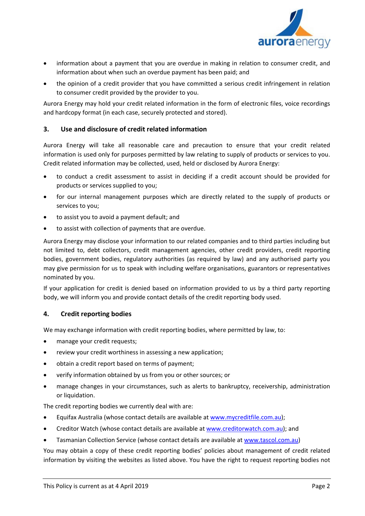

- information about a payment that you are overdue in making in relation to consumer credit, and information about when such an overdue payment has been paid; and
- the opinion of a credit provider that you have committed a serious credit infringement in relation to consumer credit provided by the provider to you.

Aurora Energy may hold your credit related information in the form of electronic files, voice recordings and hardcopy format (in each case, securely protected and stored).

# **3. Use and disclosure of credit related information**

Aurora Energy will take all reasonable care and precaution to ensure that your credit related information is used only for purposes permitted by law relating to supply of products or services to you. Credit related information may be collected, used, held or disclosed by Aurora Energy:

- to conduct a credit assessment to assist in deciding if a credit account should be provided for products or services supplied to you;
- for our internal management purposes which are directly related to the supply of products or services to you;
- to assist you to avoid a payment default; and
- to assist with collection of payments that are overdue.

Aurora Energy may disclose your information to our related companies and to third parties including but not limited to, debt collectors, credit management agencies, other credit providers, credit reporting bodies, government bodies, regulatory authorities (as required by law) and any authorised party you may give permission for us to speak with including welfare organisations, guarantors or representatives nominated by you.

If your application for credit is denied based on information provided to us by a third party reporting body, we will inform you and provide contact details of the credit reporting body used.

#### **4. Credit reporting bodies**

We may exchange information with credit reporting bodies, where permitted by law, to:

- manage your credit requests;
- review your credit worthiness in assessing a new application;
- obtain a credit report based on terms of payment;
- verify information obtained by us from you or other sources; or
- manage changes in your circumstances, such as alerts to bankruptcy, receivership, administration or liquidation.

The credit reporting bodies we currently deal with are:

- Equifax Australia (whose contact details are available at [www.mycreditfile.com.au\)](http://www.mycreditfile.com.au/);
- Creditor Watch (whose contact details are available at [www.creditorwatch.com.au\)](http://www.creditorwatch.com.au/); and
- Tasmanian Collection Service (whose contact details are available at www.tascol.com.au)

You may obtain a copy of these credit reporting bodies' policies about management of credit related information by visiting the websites as listed above. You have the right to request reporting bodies not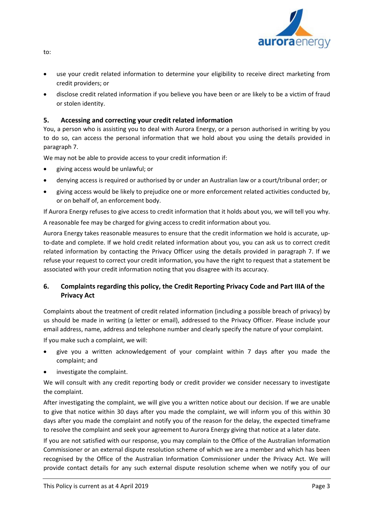

• use your credit related information to determine your eligibility to receive direct marketing from credit providers; or

• disclose credit related information if you believe you have been or are likely to be a victim of fraud or stolen identity.

# **5. Accessing and correcting your credit related information**

You, a person who is assisting you to deal with Aurora Energy, or a person authorised in writing by you to do so, can access the personal information that we hold about you using the details provided in paragraph 7.

We may not be able to provide access to your credit information if:

- giving access would be unlawful; or
- denying access is required or authorised by or under an Australian law or a court/tribunal order; or
- giving access would be likely to prejudice one or more enforcement related activities conducted by, or on behalf of, an enforcement body.

If Aurora Energy refuses to give access to credit information that it holds about you, we will tell you why.

A reasonable fee may be charged for giving access to credit information about you.

Aurora Energy takes reasonable measures to ensure that the credit information we hold is accurate, upto-date and complete. If we hold credit related information about you, you can ask us to correct credit related information by contacting the Privacy Officer using the details provided in paragraph 7. If we refuse your request to correct your credit information, you have the right to request that a statement be associated with your credit information noting that you disagree with its accuracy.

# **6. Complaints regarding this policy, the Credit Reporting Privacy Code and Part IIIA of the Privacy Act**

Complaints about the treatment of credit related information (including a possible breach of privacy) by us should be made in writing (a letter or email), addressed to the Privacy Officer. Please include your email address, name, address and telephone number and clearly specify the nature of your complaint. If you make such a complaint, we will:

- give you a written acknowledgement of your complaint within 7 days after you made the complaint; and
- investigate the complaint.

We will consult with any credit reporting body or credit provider we consider necessary to investigate the complaint.

After investigating the complaint, we will give you a written notice about our decision. If we are unable to give that notice within 30 days after you made the complaint, we will inform you of this within 30 days after you made the complaint and notify you of the reason for the delay, the expected timeframe to resolve the complaint and seek your agreement to Aurora Energy giving that notice at a later date.

If you are not satisfied with our response, you may complain to the Office of the Australian Information Commissioner or an external dispute resolution scheme of which we are a member and which has been recognised by the Office of the Australian Information Commissioner under the Privacy Act. We will provide contact details for any such external dispute resolution scheme when we notify you of our

to: